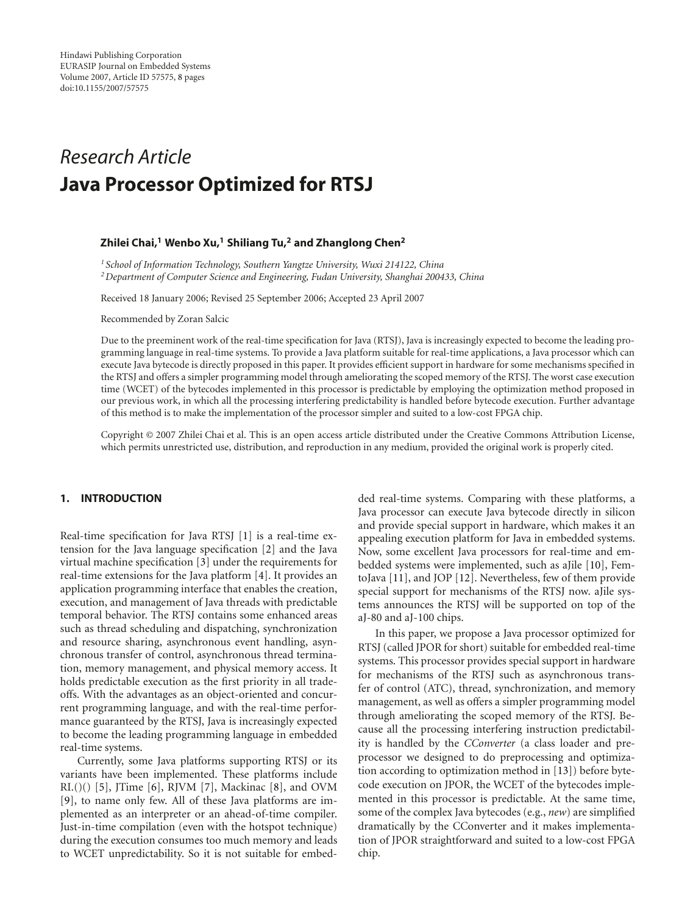# *Research Article* **Java Processor Optimized for RTSJ**

# **Zhilei Chai,1 Wenbo Xu,1 Shiliang Tu,2 and Zhanglong Chen2**

*<sup>1</sup> School of Information Technology, Southern Yangtze University, Wuxi 214122, China 2Department of Computer Science and Engineering, Fudan University, Shanghai 200433, China*

Received 18 January 2006; Revised 25 September 2006; Accepted 23 April 2007

Recommended by Zoran Salcic

Due to the preeminent work of the real-time specification for Java (RTSJ), Java is increasingly expected to become the leading programming language in real-time systems. To provide a Java platform suitable for real-time applications, a Java processor which can execute Java bytecode is directly proposed in this paper. It provides efficient support in hardware for some mechanisms specified in the RTSJ and offers a simpler programming model through ameliorating the scoped memory of the RTSJ. The worst case execution time (WCET) of the bytecodes implemented in this processor is predictable by employing the optimization method proposed in our previous work, in which all the processing interfering predictability is handled before bytecode execution. Further advantage of this method is to make the implementation of the processor simpler and suited to a low-cost FPGA chip.

Copyright © 2007 Zhilei Chai et al. This is an open access article distributed under the Creative Commons Attribution License, which permits unrestricted use, distribution, and reproduction in any medium, provided the original work is properly cited.

# <span id="page-0-0"></span>**1. INTRODUCTION**

Real-time specification for Java RTSJ [\[1\]](#page-7-1) is a real-time extension for the Java language specification [\[2](#page-7-2)] and the Java virtual machine specification [\[3](#page-7-3)] under the requirements for real-time extensions for the Java platform [\[4\]](#page-7-4). It provides an application programming interface that enables the creation, execution, and management of Java threads with predictable temporal behavior. The RTSJ contains some enhanced areas such as thread scheduling and dispatching, synchronization and resource sharing, asynchronous event handling, asynchronous transfer of control, asynchronous thread termination, memory management, and physical memory access. It holds predictable execution as the first priority in all tradeoffs. With the advantages as an object-oriented and concurrent programming language, and with the real-time performance guaranteed by the RTSJ, Java is increasingly expected to become the leading programming language in embedded real-time systems.

Currently, some Java platforms supporting RTSJ or its variants have been implemented. These platforms include RI.()() [\[5\]](#page-7-5), JTime [\[6\]](#page-7-6), RJVM [\[7\]](#page-7-7), Mackinac [\[8\]](#page-7-8), and OVM [\[9\]](#page-7-9), to name only few. All of these Java platforms are implemented as an interpreter or an ahead-of-time compiler. Just-in-time compilation (even with the hotspot technique) during the execution consumes too much memory and leads to WCET unpredictability. So it is not suitable for embedded real-time systems. Comparing with these platforms, a Java processor can execute Java bytecode directly in silicon and provide special support in hardware, which makes it an appealing execution platform for Java in embedded systems. Now, some excellent Java processors for real-time and embedded systems were implemented, such as aJile [\[10](#page-7-10)], FemtoJava [\[11\]](#page-7-11), and JOP [\[12](#page-7-12)]. Nevertheless, few of them provide special support for mechanisms of the RTSJ now. aJile systems announces the RTSJ will be supported on top of the aJ-80 and aJ-100 chips.

In this paper, we propose a Java processor optimized for RTSJ (called JPOR for short) suitable for embedded real-time systems. This processor provides special support in hardware for mechanisms of the RTSJ such as asynchronous transfer of control (ATC), thread, synchronization, and memory management, as well as offers a simpler programming model through ameliorating the scoped memory of the RTSJ. Because all the processing interfering instruction predictability is handled by the *CConverter* (a class loader and preprocessor we designed to do preprocessing and optimization according to optimization method in [\[13](#page-7-13)]) before bytecode execution on JPOR, the WCET of the bytecodes implemented in this processor is predictable. At the same time, some of the complex Java bytecodes (e.g., *new*) are simplified dramatically by the CConverter and it makes implementation of JPOR straightforward and suited to a low-cost FPGA chip.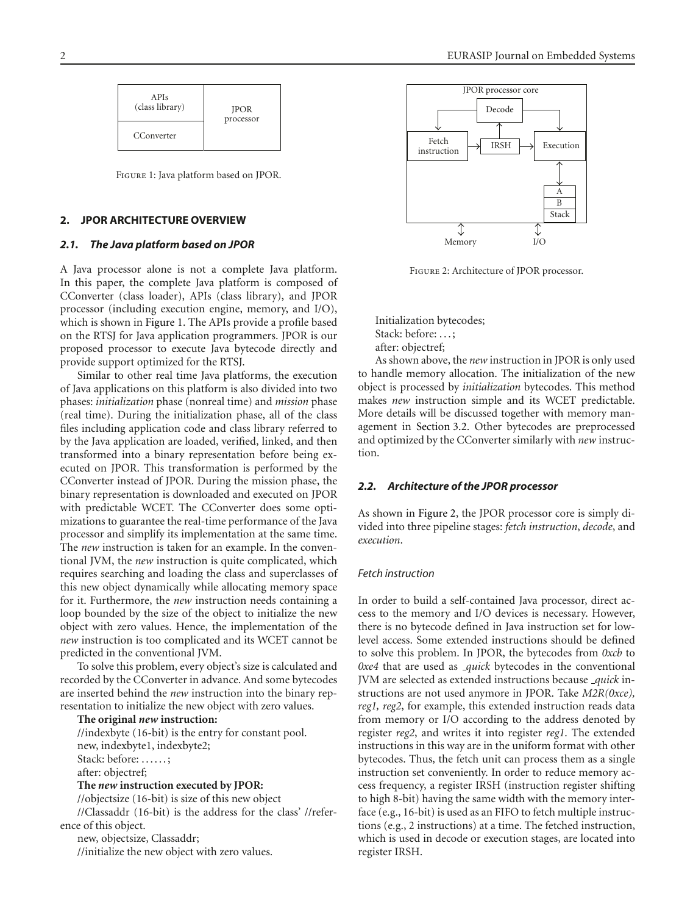

Figure 1: Java platform based on JPOR.

## <span id="page-1-2"></span><span id="page-1-0"></span>**2. JPOR ARCHITECTURE OVERVIEW**

## *2.1. The Java platform based on JPOR*

A Java processor alone is not a complete Java platform. In this paper, the complete Java platform is composed of CConverter (class loader), APIs (class library), and JPOR processor (including execution engine, memory, and I/O), which is shown in [Figure 1.](#page-1-0) The APIs provide a profile based on the RTSJ for Java application programmers. JPOR is our proposed processor to execute Java bytecode directly and provide support optimized for the RTSJ.

Similar to other real time Java platforms, the execution of Java applications on this platform is also divided into two phases: *initialization* phase (nonreal time) and *mission* phase (real time). During the initialization phase, all of the class files including application code and class library referred to by the Java application are loaded, verified, linked, and then transformed into a binary representation before being executed on JPOR. This transformation is performed by the CConverter instead of JPOR. During the mission phase, the binary representation is downloaded and executed on JPOR with predictable WCET. The CConverter does some optimizations to guarantee the real-time performance of the Java processor and simplify its implementation at the same time. The *new* instruction is taken for an example. In the conventional JVM, the *new* instruction is quite complicated, which requires searching and loading the class and superclasses of this new object dynamically while allocating memory space for it. Furthermore, the *new* instruction needs containing a loop bounded by the size of the object to initialize the new object with zero values. Hence, the implementation of the *new* instruction is too complicated and its WCET cannot be predicted in the conventional JVM.

To solve this problem, every object's size is calculated and recorded by the CConverter in advance. And some bytecodes are inserted behind the *new* instruction into the binary representation to initialize the new object with zero values.

#### **The original** *new* **instruction:**

//indexbyte (16-bit) is the entry for constant pool. new, indexbyte1, indexbyte2; Stack: before: ......; after: objectref; **The** *new* **instruction executed by JPOR:** //objectsize (16-bit) is size of this new object

//Classaddr (16-bit) is the address for the class' //reference of this object.

new, objectsize, Classaddr; //initialize the new object with zero values.



Figure 2: Architecture of JPOR processor.

<span id="page-1-1"></span>Initialization bytecodes; Stack: before: ...; after: objectref;

As shown above, the *new* instruction in JPOR is only used to handle memory allocation. The initialization of the new object is processed by *initialization* bytecodes. This method makes *new* instruction simple and its WCET predictable. More details will be discussed together with memory management in [Section 3.2.](#page-3-0) Other bytecodes are preprocessed and optimized by the CConverter similarly with *new* instruction.

#### *2.2. Architecture of the JPOR processor*

As shown in [Figure 2,](#page-1-1) the JPOR processor core is simply divided into three pipeline stages: *fetch instruction*, *decode*, and *execution*.

## *Fetch instruction*

In order to build a self-contained Java processor, direct access to the memory and I/O devices is necessary. However, there is no bytecode defined in Java instruction set for lowlevel access. Some extended instructions should be defined to solve this problem. In JPOR, the bytecodes from *0xcb* to *0xe4* that are used as *quick* bytecodes in the conventional JVM are selected as extended instructions because *quick* instructions are not used anymore in JPOR. Take *M2R(0xce), reg1, reg2*, for example, this extended instruction reads data from memory or I/O according to the address denoted by register *reg2*, and writes it into register *reg1*. The extended instructions in this way are in the uniform format with other bytecodes. Thus, the fetch unit can process them as a single instruction set conveniently. In order to reduce memory access frequency, a register IRSH (instruction register shifting to high 8-bit) having the same width with the memory interface (e.g., 16-bit) is used as an FIFO to fetch multiple instructions (e.g., 2 instructions) at a time. The fetched instruction, which is used in decode or execution stages, are located into register IRSH.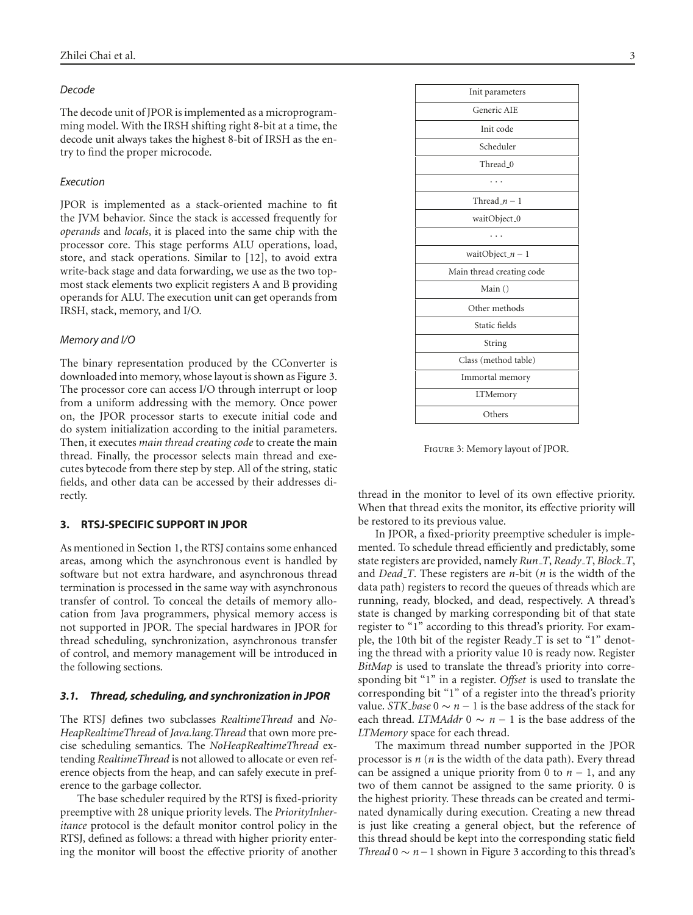# *Decode*

The decode unit of JPOR is implemented as a microprogramming model. With the IRSH shifting right 8-bit at a time, the decode unit always takes the highest 8-bit of IRSH as the entry to find the proper microcode.

#### *Execution*

JPOR is implemented as a stack-oriented machine to fit the JVM behavior. Since the stack is accessed frequently for *operands* and *locals*, it is placed into the same chip with the processor core. This stage performs ALU operations, load, store, and stack operations. Similar to [\[12\]](#page-7-12), to avoid extra write-back stage and data forwarding, we use as the two topmost stack elements two explicit registers A and B providing operands for ALU. The execution unit can get operands from IRSH, stack, memory, and I/O.

#### *Memory and I/O*

The binary representation produced by the CConverter is downloaded into memory, whose layout is shown as [Figure 3.](#page-2-0) The processor core can access I/O through interrupt or loop from a uniform addressing with the memory. Once power on, the JPOR processor starts to execute initial code and do system initialization according to the initial parameters. Then, it executes *main thread creating code* to create the main thread. Finally, the processor selects main thread and executes bytecode from there step by step. All of the string, static fields, and other data can be accessed by their addresses directly.

#### **3. RTSJ-SPECIFIC SUPPORT IN JPOR**

As mentioned in [Section 1,](#page-0-0) the RTSJ contains some enhanced areas, among which the asynchronous event is handled by software but not extra hardware, and asynchronous thread termination is processed in the same way with asynchronous transfer of control. To conceal the details of memory allocation from Java programmers, physical memory access is not supported in JPOR. The special hardwares in JPOR for thread scheduling, synchronization, asynchronous transfer of control, and memory management will be introduced in the following sections.

#### *3.1. Thread, scheduling, and synchronization in JPOR*

The RTSJ defines two subclasses *RealtimeThread* and *No-HeapRealtimeThread* of *Java.lang.Thread* that own more precise scheduling semantics. The *NoHeapRealtimeThread* extending *RealtimeThread* is not allowed to allocate or even reference objects from the heap, and can safely execute in preference to the garbage collector.

The base scheduler required by the RTSJ is fixed-priority preemptive with 28 unique priority levels. The *PriorityInheritance* protocol is the default monitor control policy in the RTSJ, defined as follows: a thread with higher priority entering the monitor will boost the effective priority of another

| Init parameters           |  |  |  |  |  |
|---------------------------|--|--|--|--|--|
| Generic AIE               |  |  |  |  |  |
| Init code                 |  |  |  |  |  |
| Scheduler                 |  |  |  |  |  |
| Thread <sub>0</sub>       |  |  |  |  |  |
|                           |  |  |  |  |  |
| Thread $n-1$              |  |  |  |  |  |
| waitObject_0              |  |  |  |  |  |
|                           |  |  |  |  |  |
| waitObject_ $n-1$         |  |  |  |  |  |
| Main thread creating code |  |  |  |  |  |
| Main ()                   |  |  |  |  |  |
| Other methods             |  |  |  |  |  |
| Static fields             |  |  |  |  |  |
| String                    |  |  |  |  |  |
| Class (method table)      |  |  |  |  |  |
| Immortal memory           |  |  |  |  |  |
| <b>LTMemory</b>           |  |  |  |  |  |
| Others                    |  |  |  |  |  |

<span id="page-2-0"></span>Figure 3: Memory layout of JPOR.

thread in the monitor to level of its own effective priority. When that thread exits the monitor, its effective priority will be restored to its previous value.

In JPOR, a fixed-priority preemptive scheduler is implemented. To schedule thread efficiently and predictably, some state registers are provided, namely *Run T*, *Ready T*, *Block T*, and *Dead T*. These registers are *n*-bit (*n* is the width of the data path) registers to record the queues of threads which are running, ready, blocked, and dead, respectively. A thread's state is changed by marking corresponding bit of that state register to "1" according to this thread's priority. For example, the 10th bit of the register Ready T is set to "1" denoting the thread with a priority value 10 is ready now. Register *BitMap* is used to translate the thread's priority into corresponding bit "1" in a register. *Offset* is used to translate the corresponding bit "1" of a register into the thread's priority value. *STK\_base*  $0 \sim n - 1$  is the base address of the stack for each thread. *LTMAddr*  $0 \sim n - 1$  is the base address of the *LTMemory* space for each thread.

The maximum thread number supported in the JPOR processor is *n* (*n* is the width of the data path). Every thread can be assigned a unique priority from 0 to *<sup>n</sup>* <sup>−</sup> 1, and any two of them cannot be assigned to the same priority. 0 is the highest priority. These threads can be created and terminated dynamically during execution. Creating a new thread is just like creating a general object, but the reference of this thread should be kept into the corresponding static field *Thread* 0 ∼ *n* − 1 shown in [Figure 3](#page-2-0) according to this thread's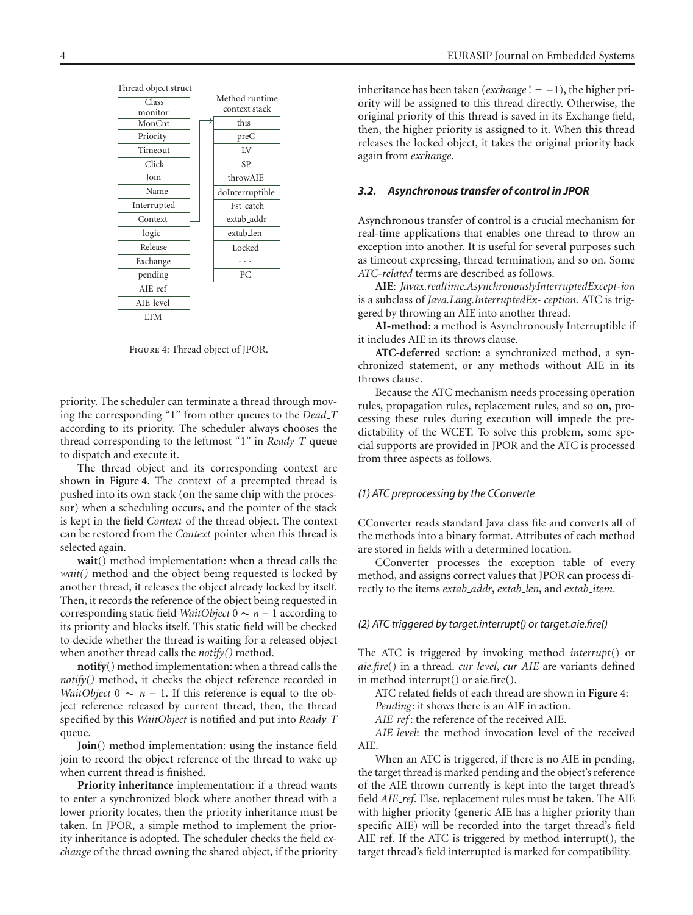

<span id="page-3-1"></span>Figure 4: Thread object of JPOR.

priority. The scheduler can terminate a thread through moving the corresponding "1" from other queues to the *Dead T* according to its priority. The scheduler always chooses the thread corresponding to the leftmost "1" in *Ready T* queue to dispatch and execute it.

The thread object and its corresponding context are shown in [Figure 4.](#page-3-1) The context of a preempted thread is pushed into its own stack (on the same chip with the processor) when a scheduling occurs, and the pointer of the stack is kept in the field *Context* of the thread object. The context can be restored from the *Context* pointer when this thread is selected again.

**wait**() method implementation: when a thread calls the *wait()* method and the object being requested is locked by another thread, it releases the object already locked by itself. Then, it records the reference of the object being requested in corresponding static field *WaitObject* <sup>0</sup> <sup>∼</sup> *<sup>n</sup>* <sup>−</sup> 1 according to its priority and blocks itself. This static field will be checked to decide whether the thread is waiting for a released object when another thread calls the *notify()* method.

**notify**() method implementation: when a thread calls the *notify()* method, it checks the object reference recorded in *WaitObject*  $0 \sim n - 1$ . If this reference is equal to the object reference released by current thread, then, the thread specified by this *WaitObject* is notified and put into *Ready T* queue.

**Join**() method implementation: using the instance field join to record the object reference of the thread to wake up when current thread is finished.

**Priority inheritance** implementation: if a thread wants to enter a synchronized block where another thread with a lower priority locates, then the priority inheritance must be taken. In JPOR, a simple method to implement the priority inheritance is adopted. The scheduler checks the field *exchange* of the thread owning the shared object, if the priority inheritance has been taken (*exchange* ! = −1), the higher priority will be assigned to this thread directly. Otherwise, the original priority of this thread is saved in its Exchange field, then, the higher priority is assigned to it. When this thread releases the locked object, it takes the original priority back again from *exchange*.

#### <span id="page-3-0"></span>*3.2. Asynchronous transfer of control in JPOR*

Asynchronous transfer of control is a crucial mechanism for real-time applications that enables one thread to throw an exception into another. It is useful for several purposes such as timeout expressing, thread termination, and so on. Some *ATC-related* terms are described as follows.

**AIE**: *Javax.realtime.AsynchronouslyInterruptedExcept-ion* is a subclass of *Java.Lang.InterruptedEx- ception*. ATC is triggered by throwing an AIE into another thread.

**AI-method**: a method is Asynchronously Interruptible if it includes AIE in its throws clause.

**ATC-deferred** section: a synchronized method, a synchronized statement, or any methods without AIE in its throws clause.

Because the ATC mechanism needs processing operation rules, propagation rules, replacement rules, and so on, processing these rules during execution will impede the predictability of the WCET. To solve this problem, some special supports are provided in JPOR and the ATC is processed from three aspects as follows.

#### *(1) ATC preprocessing by the CConverte*

CConverter reads standard Java class file and converts all of the methods into a binary format. Attributes of each method are stored in fields with a determined location.

CConverter processes the exception table of every method, and assigns correct values that JPOR can process directly to the items *extab addr*, *extab len*, and *extab item*.

#### *(2) ATC triggered by target.interrupt() or target.aie.fire()*

The ATC is triggered by invoking method *interrupt*() or *aie.fire*() in a thread. *cur level*, *cur AIE* are variants defined in method interrupt() or aie.fire().

ATC related fields of each thread are shown in [Figure 4:](#page-3-1)

*Pending*: it shows there is an AIE in action.

*AIE ref* : the reference of the received AIE.

*AIE level*: the method invocation level of the received AIE.

When an ATC is triggered, if there is no AIE in pending, the target thread is marked pending and the object's reference of the AIE thrown currently is kept into the target thread's field *AIE ref*. Else, replacement rules must be taken. The AIE with higher priority (generic AIE has a higher priority than specific AIE) will be recorded into the target thread's field AIE ref. If the ATC is triggered by method interrupt(), the target thread's field interrupted is marked for compatibility.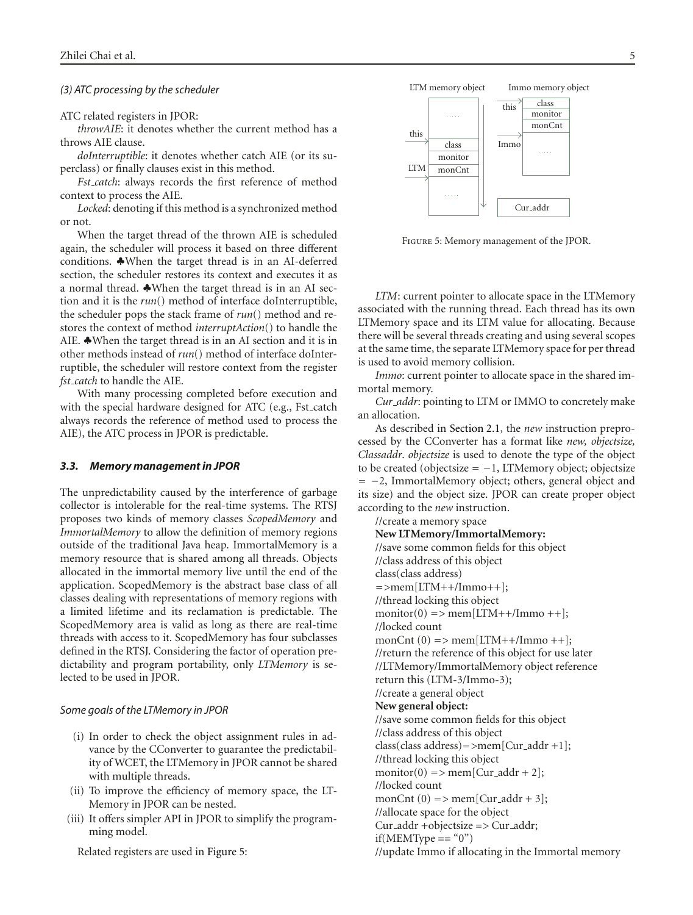## *(3) ATC processing by the scheduler*

## ATC related registers in JPOR:

*throwAIE*: it denotes whether the current method has a throws AIE clause.

*doInterruptible*: it denotes whether catch AIE (or its superclass) or finally clauses exist in this method.

*Fst catch*: always records the first reference of method context to process the AIE.

*Locked*: denoting if this method is a synchronized method or not.

When the target thread of the thrown AIE is scheduled again, the scheduler will process it based on three different conditions. ♣When the target thread is in an AI-deferred section, the scheduler restores its context and executes it as a normal thread. ♣When the target thread is in an AI section and it is the *run*() method of interface doInterruptible, the scheduler pops the stack frame of *run*() method and restores the context of method *interruptAction*() to handle the AIE. ♣When the target thread is in an AI section and it is in other methods instead of *run*() method of interface doInterruptible, the scheduler will restore context from the register *fst catch* to handle the AIE.

With many processing completed before execution and with the special hardware designed for ATC (e.g., Fst catch always records the reference of method used to process the AIE), the ATC process in JPOR is predictable.

#### <span id="page-4-1"></span>*3.3. Memory management in JPOR*

The unpredictability caused by the interference of garbage collector is intolerable for the real-time systems. The RTSJ proposes two kinds of memory classes *ScopedMemory* and *ImmortalMemory* to allow the definition of memory regions outside of the traditional Java heap. ImmortalMemory is a memory resource that is shared among all threads. Objects allocated in the immortal memory live until the end of the application. ScopedMemory is the abstract base class of all classes dealing with representations of memory regions with a limited lifetime and its reclamation is predictable. The ScopedMemory area is valid as long as there are real-time threads with access to it. ScopedMemory has four subclasses defined in the RTSJ. Considering the factor of operation predictability and program portability, only *LTMemory* is selected to be used in JPOR.

#### *Some goals of the LTMemory in JPOR*

- (i) In order to check the object assignment rules in advance by the CConverter to guarantee the predictability of WCET, the LTMemory in JPOR cannot be shared with multiple threads.
- (ii) To improve the efficiency of memory space, the LT-Memory in JPOR can be nested.
- (iii) It offers simpler API in JPOR to simplify the programming model.

Related registers are used in [Figure 5:](#page-4-0)



<span id="page-4-0"></span>Figure 5: Memory management of the JPOR.

*LTM*: current pointer to allocate space in the LTMemory associated with the running thread. Each thread has its own LTMemory space and its LTM value for allocating. Because there will be several threads creating and using several scopes at the same time, the separate LTMemory space for per thread is used to avoid memory collision.

*Immo*: current pointer to allocate space in the shared immortal memory.

*Cur addr*: pointing to LTM or IMMO to concretely make an allocation.

As described in [Section 2.1,](#page-1-2) the *new* instruction preprocessed by the CConverter has a format like *new, objectsize, Classaddr*. *objectsize* is used to denote the type of the object to be created (objectsize =  $-1$ , LTMemory object; objectsize = −2, ImmortalMemory object; others, general object and its size) and the object size. JPOR can create proper object according to the *new* instruction.

//create a memory space **New LTMemory/ImmortalMemory:** //save some common fields for this object //class address of this object class(class address) <sup>=</sup>*>*mem[LTM++/Immo++]; //thread locking this object  $monitor(0)$  =>  $mem[LTM++/Immo++];$ //locked count monCnt  $(0)$  => mem[LTM++/Immo ++]; //return the reference of this object for use later //LTMemory/ImmortalMemory object reference return this (LTM-3/Immo-3); //create a general object **New general object:** //save some common fields for this object //class address of this object class(class address)=*>*mem[Cur addr +1]; //thread locking this object  $monitor(0)$  = > mem[Cur\_addr + 2]; //locked count monCnt  $(0)$  => mem[Cur\_addr + 3]; //allocate space for the object Cur addr +objectsize =*>* Cur addr;  $if(MEMType == "0")$ //update Immo if allocating in the Immortal memory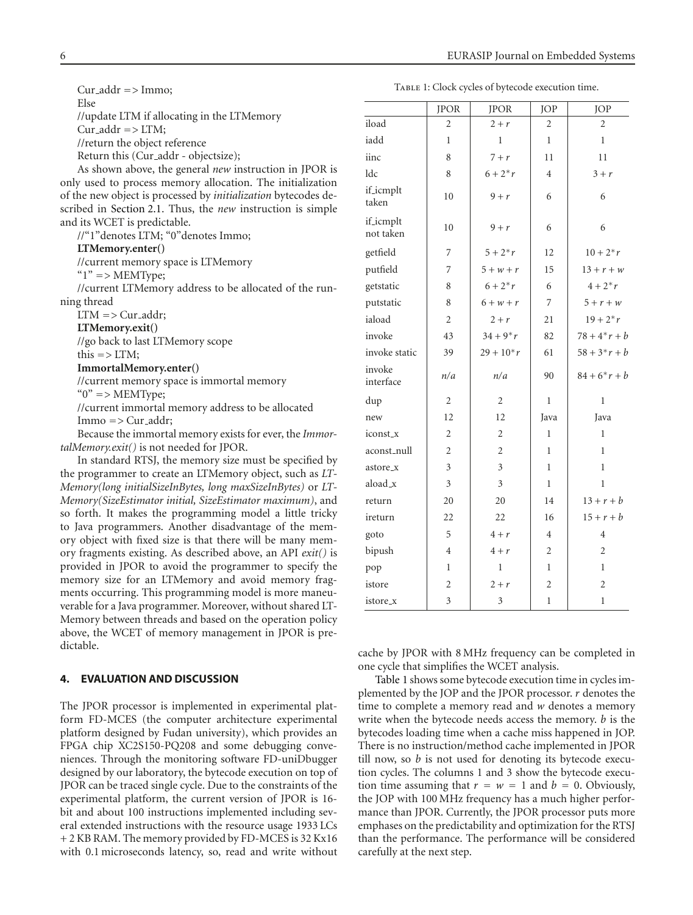Cur addr <sup>=</sup>*<sup>&</sup>gt;* Immo;

<span id="page-5-0"></span>Table 1: Clock cycles of bytecode execution time.

| Else                                                                                                                          |                        | <b>JPOR</b>    | <b>JPOR</b>    | JOP            | <b>JOP</b>     |
|-------------------------------------------------------------------------------------------------------------------------------|------------------------|----------------|----------------|----------------|----------------|
| //update LTM if allocating in the LTMemory                                                                                    | iload                  | $\overline{2}$ | $2+r$          | 2              | $\overline{2}$ |
| $Cur.adder \Rightarrow LTM;$                                                                                                  | iadd                   | 1              | 1              | 1              | 1              |
| //return the object reference                                                                                                 |                        |                |                |                |                |
| Return this (Cur_addr - objectsize);                                                                                          | iinc                   | 8              | $7+r$          | 11             | 11             |
| As shown above, the general new instruction in JPOR is<br>only used to process memory allocation. The initialization          | ldc                    | 8              | $6 + 2*r$      | $\overline{4}$ | $3 + i$        |
| of the new object is processed by initialization bytecodes de-<br>scribed in Section 2.1. Thus, the new instruction is simple | if icmplt<br>taken     | 10             | $9+r$          | 6              | 6              |
| and its WCET is predictable.<br>//"1" denotes LTM; "0" denotes Immo;                                                          | if_icmplt<br>not taken | 10             | $9+r$          | 6              | 6              |
| LTMemory.enter()                                                                                                              | getfield               | 7              | $5 + 2*r$      | 12             | $10 + 2$       |
| //current memory space is LTMemory                                                                                            | putfield               | 7              | $5 + w + r$    | 15             | $13 + r$       |
| " $1"$ => MEMType;<br>//current LTMemory address to be allocated of the run-                                                  | getstatic              | 8              | $6 + 2*r$      | 6              | $4 + 2^*$      |
| ning thread                                                                                                                   | putstatic              | 8              | $6+w+r$        | 7              | $5 + r +$      |
| $LTM$ => $Cur\_addr;$                                                                                                         | iaload                 | 2              | $2+r$          | 21             | $19 + 2$       |
| LTMemory.exit()                                                                                                               |                        |                |                |                |                |
| //go back to last LTMemory scope                                                                                              | invoke                 | 43             | $34 + 9* r$    | 82             | $78 + 4*1$     |
| this $\Rightarrow$ LTM;                                                                                                       | invoke static          | 39             | $29 + 10^{*}r$ | 61             | $58 + 3*1$     |
| ImmortalMemory.enter()                                                                                                        | invoke                 | n/a            | n/a            | 90             | $84 + 6*$      |
| //current memory space is immortal memory                                                                                     | interface              |                |                |                |                |
| " $0$ " => MEMType;                                                                                                           | dup                    | 2              | 2              | 1              | $\overline{1}$ |
| //current immortal memory address to be allocated                                                                             |                        |                |                |                |                |
| $\text{Immo} \Rightarrow \text{Cur.addr};$                                                                                    | new                    | 12             | 12             | Java           | Java           |
| Because the immortal memory exists for ever, the Immor-                                                                       | iconst_x               | 2              | 2              | 1              | 1              |
| talMemory.exit() is not needed for JPOR.<br>In standard RTSI the memory size must be specified by                             | aconst_null            | 2              | 2              | 1              | $\mathbf{1}$   |

In standard RTSJ, the memory size must be specified by the programmer to create an LTMemory object, such as *LT-Memory(long initialSizeInBytes, long maxSizeInBytes)* or *LT-Memory(SizeEstimator initial, SizeEstimator maximum)*, and so forth. It makes the programming model a little tricky to Java programmers. Another disadvantage of the memory object with fixed size is that there will be many memory fragments existing. As described above, an API *exit()* is provided in JPOR to avoid the programmer to specify the memory size for an LTMemory and avoid memory fragments occurring. This programming model is more maneuverable for a Java programmer. Moreover, without shared LT-Memory between threads and based on the operation policy above, the WCET of memory management in JPOR is predictable.

#### **4. EVALUATION AND DISCUSSION**

The JPOR processor is implemented in experimental platform FD-MCES (the computer architecture experimental platform designed by Fudan university), which provides an FPGA chip XC2S150-PQ208 and some debugging conveniences. Through the monitoring software FD-uniDbugger designed by our laboratory, the bytecode execution on top of JPOR can be traced single cycle. Due to the constraints of the experimental platform, the current version of JPOR is 16 bit and about 100 instructions implemented including several extended instructions with the resource usage 1933 LCs + 2 KB RAM. The memory provided by FD-MCES is 32 Kx16 with 0.1 microseconds latency, so, read and write without

| II_ICMPIT<br>not taken | 10             | $9+r$          | 6              | 6                |
|------------------------|----------------|----------------|----------------|------------------|
| getfield               | 7              | $5 + 2*r$      | 12             | $10 + 2*r$       |
| putfield               | 7              | $5 + w + r$    | 15             | $13 + r + w$     |
| getstatic              | 8              | $6 + 2*r$      | 6              | $4 + 2*r$        |
| putstatic              | 8              | $6+w+r$        | $\overline{7}$ | $5+r+w$          |
| iaload                 | $\overline{2}$ | $2+r$          | 21             | $19 + 2*r$       |
| invoke                 | 43             | $34 + 9* r$    | 82             | $78 + 4 * r + b$ |
| invoke static          | 39             | $29 + 10^{*}r$ | 61             | $58 + 3 * r + b$ |
| invoke<br>interface    | n/a            | n/a            | 90             | $84 + 6 * r + b$ |
| dup                    | $\overline{2}$ | 2              | $\mathbf{1}$   | $\mathbf{1}$     |
| new                    | 12             | 12             | Java           | Java             |
| iconst_x               | $\overline{2}$ | $\overline{2}$ | $\mathbf{1}$   | $\mathbf{1}$     |
| aconst_null            | $\overline{2}$ | $\overline{2}$ | $\mathbf{1}$   | $\mathbf{1}$     |
| astore_x               | 3              | 3              | $\mathbf{1}$   | $\mathbf{1}$     |
| aload_x                | 3              | 3              | $\mathbf{1}$   | $\mathbf{1}$     |
| return                 | 20             | 20             | 14             | $13 + r + b$     |
| ireturn                | 22             | 22             | 16             | $15 + r + b$     |
| goto                   | 5              | $4+r$          | $\overline{4}$ | $\overline{4}$   |
| bipush                 | $\overline{4}$ | $4+r$          | $\overline{2}$ | $\overline{2}$   |
| pop                    | $\mathbf{1}$   | $\mathbf{1}$   | $\mathbf{1}$   | $\mathbf{1}$     |
| istore                 | $\overline{2}$ | $2+r$          | $\overline{2}$ | $\overline{2}$   |
| istore_x               | 3              | 3              | $\mathbf{1}$   | $\mathbf{1}$     |
|                        |                |                |                |                  |

cache by JPOR with 8 MHz frequency can be completed in one cycle that simplifies the WCET analysis.

[Table 1](#page-5-0) shows some bytecode execution time in cycles implemented by the JOP and the JPOR processor. *r* denotes the time to complete a memory read and *w* denotes a memory write when the bytecode needs access the memory. *b* is the bytecodes loading time when a cache miss happened in JOP. There is no instruction/method cache implemented in JPOR till now, so *b* is not used for denoting its bytecode execution cycles. The columns 1 and 3 show the bytecode execution time assuming that  $r = w = 1$  and  $b = 0$ . Obviously, the JOP with 100 MHz frequency has a much higher performance than JPOR. Currently, the JPOR processor puts more emphases on the predictability and optimization for the RTSJ than the performance. The performance will be considered carefully at the next step.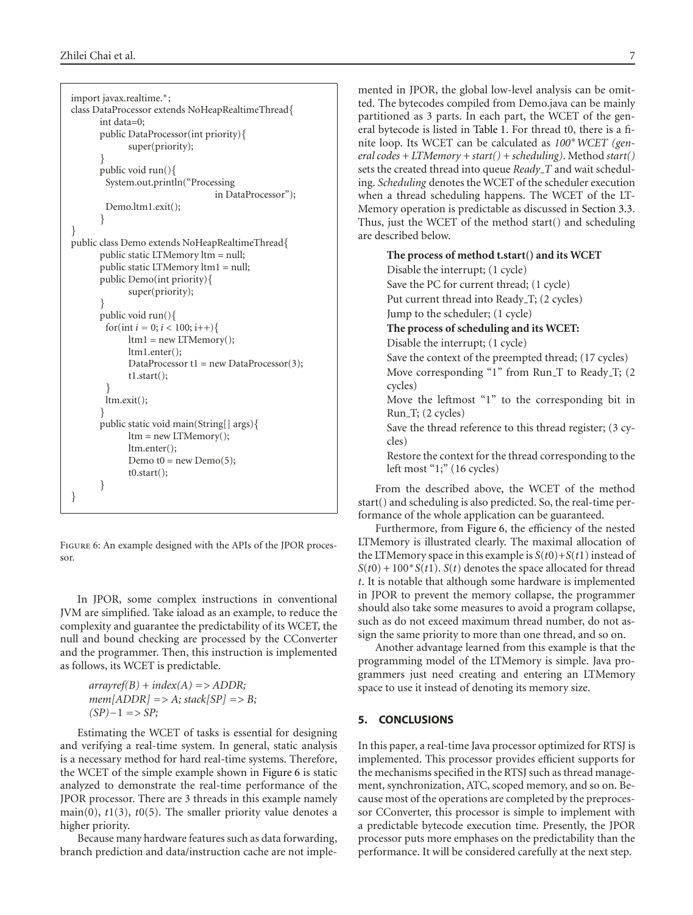```
import javax.realtime.∗;
class DataProcessor extends NoHeapRealtimeThread{
       int data=0;
       public DataProcessor(int priority){
             super(priority);
       }
public void run(){
        System.out.println("Processing
                                  in DataProcessor");
        Demo.ltm1.exit();
       }
}
public class Demo extends NoHeapRealtimeThread{
       public static LTMemory ltm = null;
       public static LTMemory ltm1 = null;
       public Demo(int priority){
             super(priority);
       }
public void run(){
        for(int i = 0; i < 100; i++){
             ltm1 = new LTMemory();
             ltm1.enter();
             DataProcessor t1 = new DataProcessor(3);
             t1.start();
        }
ltm.exit();
       }
       public static void main(String[] args){
             ltm = new LTMemory();
             ltm.enter();
             Demo t0 = new Demo(5);
             t0.start();
       }
}
```
<span id="page-6-0"></span>Figure 6: An example designed with the APIs of the JPOR processor.

In JPOR, some complex instructions in conventional JVM are simplified. Take iaload as an example, to reduce the complexity and guarantee the predictability of its WCET, the null and bound checking are processed by the CConverter and the programmer. Then, this instruction is implemented as follows, its WCET is predictable.

```
arrayref(B) + index(A) = > ADDR;mem[ADDR] = > A; stack[SP] = > B;
(SP)−1 => SP;
```
Estimating the WCET of tasks is essential for designing and verifying a real-time system. In general, static analysis is a necessary method for hard real-time systems. Therefore, the WCET of the simple example shown in [Figure 6](#page-6-0) is static analyzed to demonstrate the real-time performance of the JPOR processor. There are 3 threads in this example namely main(0), *t*1(3), *t*0(5). The smaller priority value denotes a higher priority.

Because many hardware features such as data forwarding, branch prediction and data/instruction cache are not implemented in JPOR, the global low-level analysis can be omitted. The bytecodes compiled from Demo.java can be mainly partitioned as 3 parts. In each part, the WCET of the general bytecode is listed in [Table 1.](#page-5-0) For thread t0, there is a finite loop. Its WCET can be calculated as *100*∗*WCET (general codes + LTMemory + start() + scheduling)*. Method *start()* sets the created thread into queue *Ready T* and wait scheduling. *Scheduling* denotes the WCET of the scheduler execution when a thread scheduling happens. The WCET of the LT-Memory operation is predictable as discussed in [Section 3.3.](#page-4-1) Thus, just the WCET of the method start() and scheduling are described below.

**The process of method t.start() and its WCET** Disable the interrupt; (1 cycle) Save the PC for current thread; (1 cycle) Put current thread into Ready T; (2 cycles) Jump to the scheduler; (1 cycle) **The process of scheduling and its WCET:** Disable the interrupt; (1 cycle) Save the context of the preempted thread; (17 cycles) Move corresponding "1" from Run T to Ready T; (2 cycles) Move the leftmost "1" to the corresponding bit in Run T; (2 cycles) Save the thread reference to this thread register; (3 cycles) Restore the context for the thread corresponding to the left most "1;" (16 cycles)

From the described above, the WCET of the method start() and scheduling is also predicted. So, the real-time performance of the whole application can be guaranteed.

Furthermore, from [Figure 6,](#page-6-0) the efficiency of the nested LTMemory is illustrated clearly. The maximal allocation of the LTMemory space in this example is  $S(t0) + S(t1)$  instead of *S*(*t*0) + 100∗*S*(*t*1). *S*(*t*) denotes the space allocated for thread *t*. It is notable that although some hardware is implemented in JPOR to prevent the memory collapse, the programmer should also take some measures to avoid a program collapse, such as do not exceed maximum thread number, do not assign the same priority to more than one thread, and so on.

Another advantage learned from this example is that the programming model of the LTMemory is simple. Java programmers just need creating and entering an LTMemory space to use it instead of denoting its memory size.

# **5. CONCLUSIONS**

In this paper, a real-time Java processor optimized for RTSJ is implemented. This processor provides efficient supports for the mechanisms specified in the RTSJ such as thread management, synchronization, ATC, scoped memory, and so on. Because most of the operations are completed by the preprocessor CConverter, this processor is simple to implement with a predictable bytecode execution time. Presently, the JPOR processor puts more emphases on the predictability than the performance. It will be considered carefully at the next step.